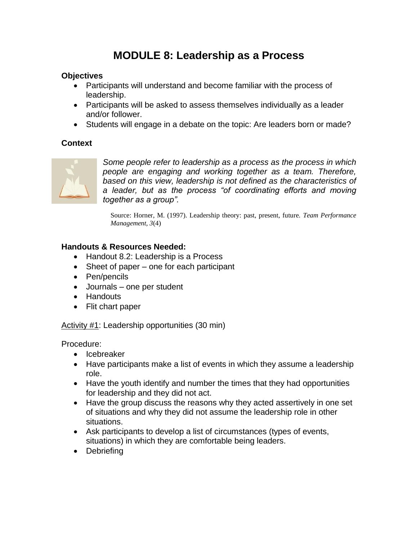# **MODULE 8: Leadership as a Process**

### **Objectives**

- Participants will understand and become familiar with the process of leadership.
- Participants will be asked to assess themselves individually as a leader and/or follower.
- Students will engage in a debate on the topic: Are leaders born or made?

### **Context**



*Some people refer to leadership as a process as the process in which people are engaging and working together as a team. Therefore, based on this view, leadership is not defined as the characteristics of a leader, but as the process "of coordinating efforts and moving together as a group".* 

Source: Horner, M. (1997). Leadership theory: past, present, future. *Team Performance Management, 3*(4)

### **Handouts & Resources Needed:**

- Handout 8.2: Leadership is a Process
- Sheet of paper one for each participant
- Pen/pencils
- Journals one per student
- Handouts
- Flit chart paper

Activity #1: Leadership opportunities (30 min)

Procedure:

- Icebreaker
- Have participants make a list of events in which they assume a leadership role.
- Have the youth identify and number the times that they had opportunities for leadership and they did not act.
- Have the group discuss the reasons why they acted assertively in one set of situations and why they did not assume the leadership role in other situations.
- Ask participants to develop a list of circumstances (types of events, situations) in which they are comfortable being leaders.
- Debriefing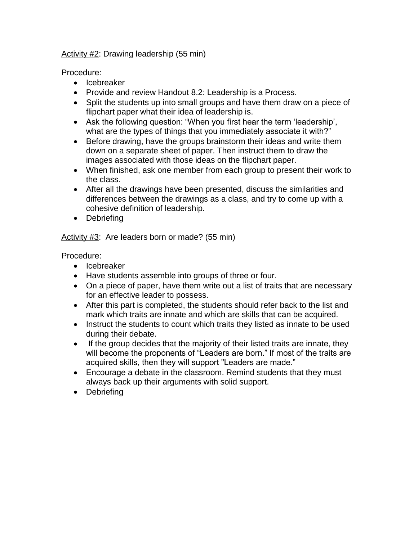Activity #2: Drawing leadership (55 min)

Procedure:

- Icebreaker
- Provide and review Handout 8.2: Leadership is a Process.
- Split the students up into small groups and have them draw on a piece of flipchart paper what their idea of leadership is.
- Ask the following question: "When you first hear the term "leadership", what are the types of things that you immediately associate it with?"
- Before drawing, have the groups brainstorm their ideas and write them down on a separate sheet of paper. Then instruct them to draw the images associated with those ideas on the flipchart paper.
- When finished, ask one member from each group to present their work to the class.
- After all the drawings have been presented, discuss the similarities and differences between the drawings as a class, and try to come up with a cohesive definition of leadership.
- Debriefing

Activity #3: Are leaders born or made? (55 min)

Procedure:

- Icebreaker
- Have students assemble into groups of three or four.
- On a piece of paper, have them write out a list of traits that are necessary for an effective leader to possess.
- After this part is completed, the students should refer back to the list and mark which traits are innate and which are skills that can be acquired.
- Instruct the students to count which traits they listed as innate to be used during their debate.
- If the group decides that the majority of their listed traits are innate, they will become the proponents of "Leaders are born." If most of the traits are acquired skills, then they will support "Leaders are made."
- Encourage a debate in the classroom. Remind students that they must always back up their arguments with solid support.
- Debriefing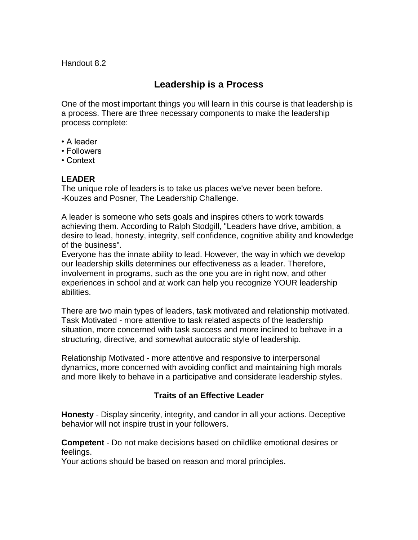Handout 8.2

## **Leadership is a Process**

One of the most important things you will learn in this course is that leadership is a process. There are three necessary components to make the leadership process complete:

- A leader
- Followers
- Context

### **LEADER**

The unique role of leaders is to take us places we've never been before. -Kouzes and Posner, The Leadership Challenge.

A leader is someone who sets goals and inspires others to work towards achieving them. According to Ralph Stodgill, "Leaders have drive, ambition, a desire to lead, honesty, integrity, self confidence, cognitive ability and knowledge of the business".

Everyone has the innate ability to lead. However, the way in which we develop our leadership skills determines our effectiveness as a leader. Therefore, involvement in programs, such as the one you are in right now, and other experiences in school and at work can help you recognize YOUR leadership abilities.

There are two main types of leaders, task motivated and relationship motivated. Task Motivated - more attentive to task related aspects of the leadership situation, more concerned with task success and more inclined to behave in a structuring, directive, and somewhat autocratic style of leadership.

Relationship Motivated - more attentive and responsive to interpersonal dynamics, more concerned with avoiding conflict and maintaining high morals and more likely to behave in a participative and considerate leadership styles.

### **Traits of an Effective Leader**

**Honesty** - Display sincerity, integrity, and candor in all your actions. Deceptive behavior will not inspire trust in your followers.

**Competent** - Do not make decisions based on childlike emotional desires or feelings.

Your actions should be based on reason and moral principles.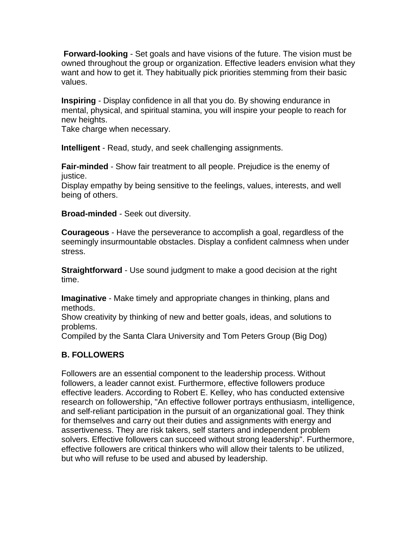**Forward-looking** - Set goals and have visions of the future. The vision must be owned throughout the group or organization. Effective leaders envision what they want and how to get it. They habitually pick priorities stemming from their basic values.

**Inspiring** - Display confidence in all that you do. By showing endurance in mental, physical, and spiritual stamina, you will inspire your people to reach for new heights.

Take charge when necessary.

**Intelligent** - Read, study, and seek challenging assignments.

**Fair-minded** - Show fair treatment to all people. Prejudice is the enemy of justice.

Display empathy by being sensitive to the feelings, values, interests, and well being of others.

**Broad-minded** - Seek out diversity.

**Courageous** - Have the perseverance to accomplish a goal, regardless of the seemingly insurmountable obstacles. Display a confident calmness when under stress.

**Straightforward** - Use sound judgment to make a good decision at the right time.

**Imaginative** - Make timely and appropriate changes in thinking, plans and methods.

Show creativity by thinking of new and better goals, ideas, and solutions to problems.

Compiled by the Santa Clara University and Tom Peters Group (Big Dog)

### **B. FOLLOWERS**

Followers are an essential component to the leadership process. Without followers, a leader cannot exist. Furthermore, effective followers produce effective leaders. According to Robert E. Kelley, who has conducted extensive research on followership, "An effective follower portrays enthusiasm, intelligence, and self-reliant participation in the pursuit of an organizational goal. They think for themselves and carry out their duties and assignments with energy and assertiveness. They are risk takers, self starters and independent problem solvers. Effective followers can succeed without strong leadership". Furthermore, effective followers are critical thinkers who will allow their talents to be utilized, but who will refuse to be used and abused by leadership.